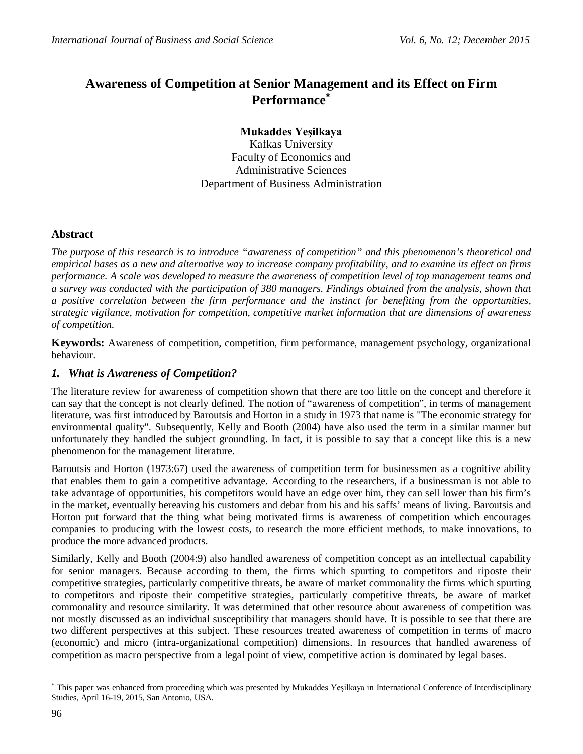# **Awareness of Competition at Senior Management and its Effect on Firm Performance**

**Mukaddes Yeşilkaya**

Kafkas University Faculty of Economics and Administrative Sciences Department of Business Administration

# **Abstract**

*The purpose of this research is to introduce "awareness of competition" and this phenomenon's theoretical and empirical bases as a new and alternative way to increase company profitability, and to examine its effect on firms performance. A scale was developed to measure the awareness of competition level of top management teams and a survey was conducted with the participation of 380 managers. Findings obtained from the analysis, shown that a positive correlation between the firm performance and the instinct for benefiting from the opportunities, strategic vigilance, motivation for competition, competitive market information that are dimensions of awareness of competition.*

**Keywords:** Awareness of competition, competition, firm performance, management psychology, organizational behaviour.

### *1. What is Awareness of Competition?*

The literature review for awareness of competition shown that there are too little on the concept and therefore it can say that the concept is not clearly defined. The notion of "awareness of competition", in terms of management literature, was first introduced by Baroutsis and Horton in a study in 1973 that name is "The economic strategy for environmental quality". Subsequently, Kelly and Booth (2004) have also used the term in a similar manner but unfortunately they handled the subject groundling. In fact, it is possible to say that a concept like this is a new phenomenon for the management literature.

Baroutsis and Horton (1973:67) used the awareness of competition term for businessmen as a cognitive ability that enables them to gain a competitive advantage. According to the researchers, if a businessman is not able to take advantage of opportunities, his competitors would have an edge over him, they can sell lower than his firm's in the market, eventually bereaving his customers and debar from his and his saffs' means of living. Baroutsis and Horton put forward that the thing what being motivated firms is awareness of competition which encourages companies to producing with the lowest costs, to research the more efficient methods, to make innovations, to produce the more advanced products.

Similarly, Kelly and Booth (2004:9) also handled awareness of competition concept as an intellectual capability for senior managers. Because according to them, the firms which spurting to competitors and riposte their competitive strategies, particularly competitive threats, be aware of market commonality the firms which spurting to competitors and riposte their competitive strategies, particularly competitive threats, be aware of market commonality and resource similarity. It was determined that other resource about awareness of competition was not mostly discussed as an individual susceptibility that managers should have. It is possible to see that there are two different perspectives at this subject. These resources treated awareness of competition in terms of macro (economic) and micro (intra-organizational competition) dimensions. In resources that handled awareness of competition as macro perspective from a legal point of view, competitive action is dominated by legal bases.

 $\overline{a}$ 

This paper was enhanced from proceeding which was presented by Mukaddes Yeşilkaya in International Conference of Interdisciplinary Studies, April 16-19, 2015, San Antonio, USA.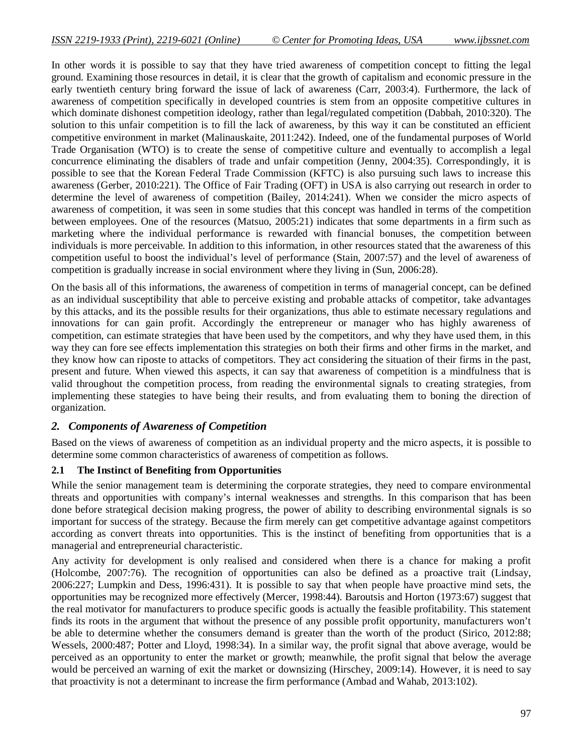In other words it is possible to say that they have tried awareness of competition concept to fitting the legal ground. Examining those resources in detail, it is clear that the growth of capitalism and economic pressure in the early twentieth century bring forward the issue of lack of awareness (Carr, 2003:4). Furthermore, the lack of awareness of competition specifically in developed countries is stem from an opposite competitive cultures in which dominate dishonest competition ideology, rather than legal/regulated competition (Dabbah, 2010:320). The solution to this unfair competition is to fill the lack of awareness, by this way it can be constituted an efficient competitive environment in market (Malinauskaite, 2011:242). Indeed, one of the fundamental purposes of World Trade Organisation (WTO) is to create the sense of competitive culture and eventually to accomplish a legal concurrence eliminating the disablers of trade and unfair competition (Jenny, 2004:35). Correspondingly, it is possible to see that the Korean Federal Trade Commission (KFTC) is also pursuing such laws to increase this awareness (Gerber, 2010:221). The Office of Fair Trading (OFT) in USA is also carrying out research in order to determine the level of awareness of competition (Bailey, 2014:241). When we consider the micro aspects of awareness of competition, it was seen in some studies that this concept was handled in terms of the competition between employees. One of the resources (Matsuo, 2005:21) indicates that some departments in a firm such as marketing where the individual performance is rewarded with financial bonuses, the competition between individuals is more perceivable. In addition to this information, in other resources stated that the awareness of this competition useful to boost the individual's level of performance (Stain, 2007:57) and the level of awareness of competition is gradually increase in social environment where they living in (Sun, 2006:28).

On the basis all of this informations, the awareness of competition in terms of managerial concept, can be defined as an individual susceptibility that able to perceive existing and probable attacks of competitor, take advantages by this attacks, and its the possible results for their organizations, thus able to estimate necessary regulations and innovations for can gain profit. Accordingly the entrepreneur or manager who has highly awareness of competition, can estimate strategies that have been used by the competitors, and why they have used them, in this way they can fore see effects implementation this strategies on both their firms and other firms in the market, and they know how can riposte to attacks of competitors. They act considering the situation of their firms in the past, present and future. When viewed this aspects, it can say that awareness of competition is a mindfulness that is valid throughout the competition process, from reading the environmental signals to creating strategies, from implementing these stategies to have being their results, and from evaluating them to boning the direction of organization.

# *2. Components of Awareness of Competition*

Based on the views of awareness of competition as an individual property and the micro aspects, it is possible to determine some common characteristics of awareness of competition as follows.

#### **2.1 The Instinct of Benefiting from Opportunities**

While the senior management team is determining the corporate strategies, they need to compare environmental threats and opportunities with company's internal weaknesses and strengths. In this comparison that has been done before strategical decision making progress, the power of ability to describing environmental signals is so important for success of the strategy. Because the firm merely can get competitive advantage against competitors according as convert threats into opportunities. This is the instinct of benefiting from opportunities that is a managerial and entrepreneurial characteristic.

Any activity for development is only realised and considered when there is a chance for making a profit (Holcombe, 2007:76). The recognition of opportunities can also be defined as a proactive trait (Lindsay, 2006:227; Lumpkin and Dess, 1996:431). It is possible to say that when people have proactive mind sets, the opportunities may be recognized more effectively (Mercer, 1998:44). Baroutsis and Horton (1973:67) suggest that the real motivator for manufacturers to produce specific goods is actually the feasible profitability. This statement finds its roots in the argument that without the presence of any possible profit opportunity, manufacturers won't be able to determine whether the consumers demand is greater than the worth of the product (Sirico, 2012:88; Wessels, 2000:487; Potter and Lloyd, 1998:34). In a similar way, the profit signal that above average, would be perceived as an opportunity to enter the market or growth; meanwhile, the profit signal that below the average would be perceived an warning of exit the market or downsizing (Hirschey, 2009:14). However, it is need to say that proactivity is not a determinant to increase the firm performance (Ambad and Wahab, 2013:102).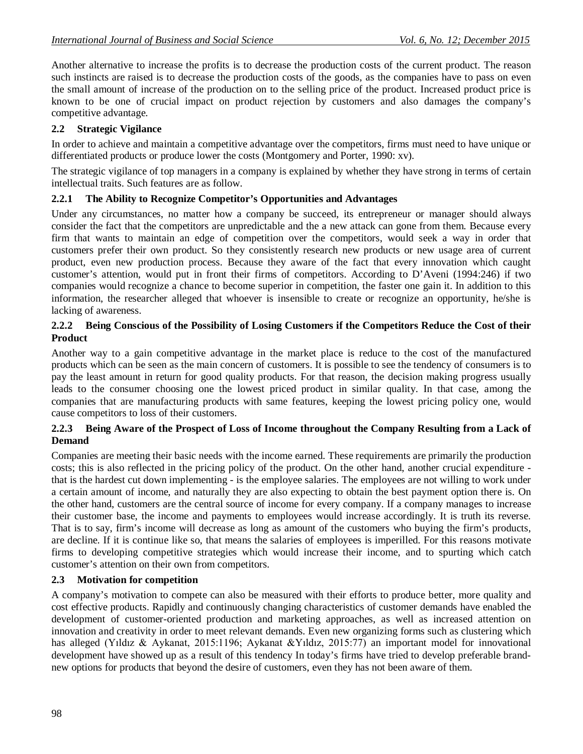Another alternative to increase the profits is to decrease the production costs of the current product. The reason such instincts are raised is to decrease the production costs of the goods, as the companies have to pass on even the small amount of increase of the production on to the selling price of the product. Increased product price is known to be one of crucial impact on product rejection by customers and also damages the company's competitive advantage.

# **2.2 Strategic Vigilance**

In order to achieve and maintain a competitive advantage over the competitors, firms must need to have unique or differentiated products or produce lower the costs (Montgomery and Porter, 1990: xv).

The strategic vigilance of top managers in a company is explained by whether they have strong in terms of certain intellectual traits. Such features are as follow.

#### **2.2.1 The Ability to Recognize Competitor's Opportunities and Advantages**

Under any circumstances, no matter how a company be succeed, its entrepreneur or manager should always consider the fact that the competitors are unpredictable and the a new attack can gone from them. Because every firm that wants to maintain an edge of competition over the competitors, would seek a way in order that customers prefer their own product. So they consistently research new products or new usage area of current product, even new production process. Because they aware of the fact that every innovation which caught customer's attention, would put in front their firms of competitors. According to D'Aveni (1994:246) if two companies would recognize a chance to become superior in competition, the faster one gain it. In addition to this information, the researcher alleged that whoever is insensible to create or recognize an opportunity, he/she is lacking of awareness.

#### **2.2.2 Being Conscious of the Possibility of Losing Customers if the Competitors Reduce the Cost of their Product**

Another way to a gain competitive advantage in the market place is reduce to the cost of the manufactured products which can be seen as the main concern of customers. It is possible to see the tendency of consumers is to pay the least amount in return for good quality products. For that reason, the decision making progress usually leads to the consumer choosing one the lowest priced product in similar quality. In that case, among the companies that are manufacturing products with same features, keeping the lowest pricing policy one, would cause competitors to loss of their customers.

#### **2.2.3 Being Aware of the Prospect of Loss of Income throughout the Company Resulting from a Lack of Demand**

Companies are meeting their basic needs with the income earned. These requirements are primarily the production costs; this is also reflected in the pricing policy of the product. On the other hand, another crucial expenditure that is the hardest cut down implementing - is the employee salaries. The employees are not willing to work under a certain amount of income, and naturally they are also expecting to obtain the best payment option there is. On the other hand, customers are the central source of income for every company. If a company manages to increase their customer base, the income and payments to employees would increase accordingly. It is truth its reverse. That is to say, firm's income will decrease as long as amount of the customers who buying the firm's products, are decline. If it is continue like so, that means the salaries of employees is imperilled. For this reasons motivate firms to developing competitive strategies which would increase their income, and to spurting which catch customer's attention on their own from competitors.

#### **2.3 Motivation for competition**

A company's motivation to compete can also be measured with their efforts to produce better, more quality and cost effective products. Rapidly and continuously changing characteristics of customer demands have enabled the development of customer-oriented production and marketing approaches, as well as increased attention on innovation and creativity in order to meet relevant demands. Even new organizing forms such as clustering which has alleged (Yıldız & Aykanat, 2015:1196; Aykanat &Yıldız, 2015:77) an important model for innovational development have showed up as a result of this tendency In today's firms have tried to develop preferable brandnew options for products that beyond the desire of customers, even they has not been aware of them.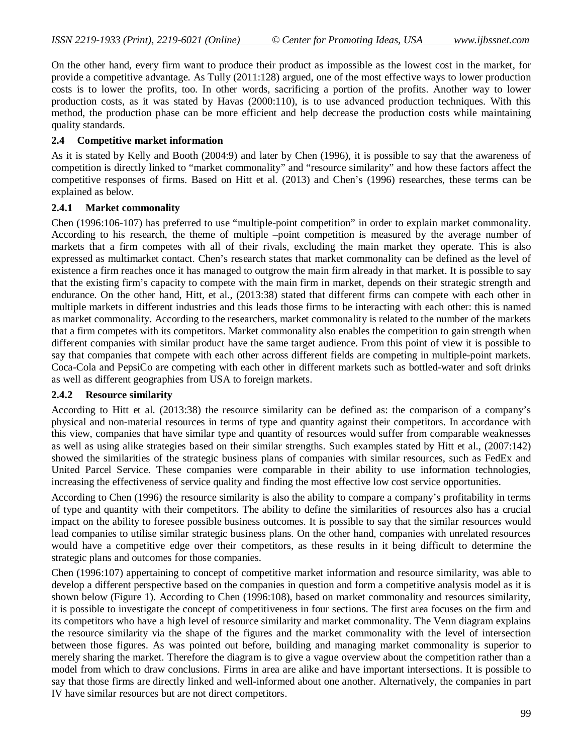On the other hand, every firm want to produce their product as impossible as the lowest cost in the market, for provide a competitive advantage. As Tully (2011:128) argued, one of the most effective ways to lower production costs is to lower the profits, too. In other words, sacrificing a portion of the profits. Another way to lower production costs, as it was stated by Havas (2000:110), is to use advanced production techniques. With this method, the production phase can be more efficient and help decrease the production costs while maintaining quality standards.

#### **2.4 Competitive market information**

As it is stated by Kelly and Booth (2004:9) and later by Chen (1996), it is possible to say that the awareness of competition is directly linked to "market commonality" and "resource similarity" and how these factors affect the competitive responses of firms. Based on Hitt et al. (2013) and Chen's (1996) researches, these terms can be explained as below.

#### **2.4.1 Market commonality**

Chen (1996:106-107) has preferred to use "multiple-point competition" in order to explain market commonality. According to his research, the theme of multiple –point competition is measured by the average number of markets that a firm competes with all of their rivals, excluding the main market they operate. This is also expressed as multimarket contact. Chen's research states that market commonality can be defined as the level of existence a firm reaches once it has managed to outgrow the main firm already in that market. It is possible to say that the existing firm's capacity to compete with the main firm in market, depends on their strategic strength and endurance. On the other hand, Hitt, et al., (2013:38) stated that different firms can compete with each other in multiple markets in different industries and this leads those firms to be interacting with each other: this is named as market commonality. According to the researchers, market commonality is related to the number of the markets that a firm competes with its competitors. Market commonality also enables the competition to gain strength when different companies with similar product have the same target audience. From this point of view it is possible to say that companies that compete with each other across different fields are competing in multiple-point markets. Coca-Cola and PepsiCo are competing with each other in different markets such as bottled-water and soft drinks as well as different geographies from USA to foreign markets.

#### **2.4.2 Resource similarity**

According to Hitt et al. (2013:38) the resource similarity can be defined as: the comparison of a company's physical and non-material resources in terms of type and quantity against their competitors. In accordance with this view, companies that have similar type and quantity of resources would suffer from comparable weaknesses as well as using alike strategies based on their similar strengths. Such examples stated by Hitt et al., (2007:142) showed the similarities of the strategic business plans of companies with similar resources, such as FedEx and United Parcel Service. These companies were comparable in their ability to use information technologies, increasing the effectiveness of service quality and finding the most effective low cost service opportunities.

According to Chen (1996) the resource similarity is also the ability to compare a company's profitability in terms of type and quantity with their competitors. The ability to define the similarities of resources also has a crucial impact on the ability to foresee possible business outcomes. It is possible to say that the similar resources would lead companies to utilise similar strategic business plans. On the other hand, companies with unrelated resources would have a competitive edge over their competitors, as these results in it being difficult to determine the strategic plans and outcomes for those companies.

Chen (1996:107) appertaining to concept of competitive market information and resource similarity, was able to develop a different perspective based on the companies in question and form a competitive analysis model as it is shown below (Figure 1). According to Chen (1996:108), based on market commonality and resources similarity, it is possible to investigate the concept of competitiveness in four sections. The first area focuses on the firm and its competitors who have a high level of resource similarity and market commonality. The Venn diagram explains the resource similarity via the shape of the figures and the market commonality with the level of intersection between those figures. As was pointed out before, building and managing market commonality is superior to merely sharing the market. Therefore the diagram is to give a vague overview about the competition rather than a model from which to draw conclusions. Firms in area are alike and have important intersections. It is possible to say that those firms are directly linked and well-informed about one another. Alternatively, the companies in part IV have similar resources but are not direct competitors.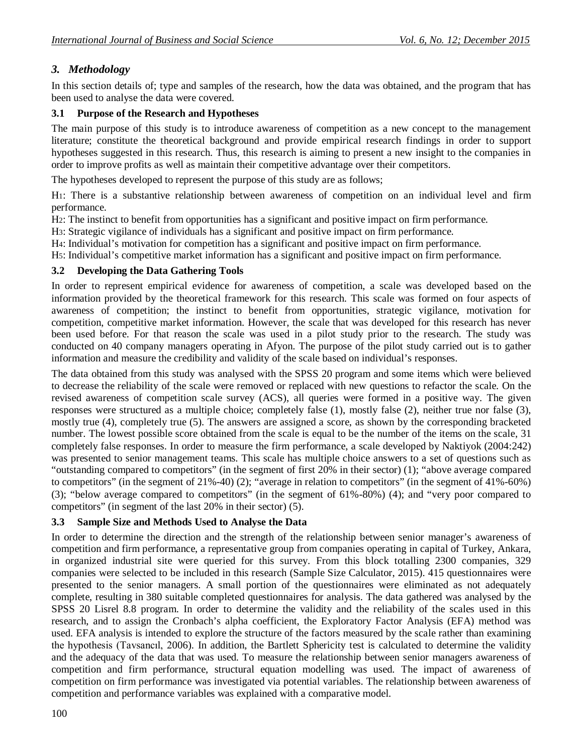# *3. Methodology*

In this section details of; type and samples of the research, how the data was obtained, and the program that has been used to analyse the data were covered.

### **3.1 Purpose of the Research and Hypotheses**

The main purpose of this study is to introduce awareness of competition as a new concept to the management literature; constitute the theoretical background and provide empirical research findings in order to support hypotheses suggested in this research. Thus, this research is aiming to present a new insight to the companies in order to improve profits as well as maintain their competitive advantage over their competitors.

The hypotheses developed to represent the purpose of this study are as follows;

H1: There is a substantive relationship between awareness of competition on an individual level and firm performance.

H<sub>2</sub>: The instinct to benefit from opportunities has a significant and positive impact on firm performance.

H3: Strategic vigilance of individuals has a significant and positive impact on firm performance.

H4: Individual's motivation for competition has a significant and positive impact on firm performance.

H5: Individual's competitive market information has a significant and positive impact on firm performance.

#### **3.2 Developing the Data Gathering Tools**

In order to represent empirical evidence for awareness of competition, a scale was developed based on the information provided by the theoretical framework for this research. This scale was formed on four aspects of awareness of competition; the instinct to benefit from opportunities, strategic vigilance, motivation for competition, competitive market information. However, the scale that was developed for this research has never been used before. For that reason the scale was used in a pilot study prior to the research. The study was conducted on 40 company managers operating in Afyon. The purpose of the pilot study carried out is to gather information and measure the credibility and validity of the scale based on individual's responses.

The data obtained from this study was analysed with the SPSS 20 program and some items which were believed to decrease the reliability of the scale were removed or replaced with new questions to refactor the scale. On the revised awareness of competition scale survey (ACS), all queries were formed in a positive way. The given responses were structured as a multiple choice; completely false (1), mostly false (2), neither true nor false (3), mostly true (4), completely true (5). The answers are assigned a score, as shown by the corresponding bracketed number. The lowest possible score obtained from the scale is equal to be the number of the items on the scale, 31 completely false responses. In order to measure the firm performance, a scale developed by Naktiyok (2004:242) was presented to senior management teams. This scale has multiple choice answers to a set of questions such as "outstanding compared to competitors" (in the segment of first 20% in their sector) (1); "above average compared to competitors" (in the segment of 21%-40) (2); "average in relation to competitors" (in the segment of 41%-60%) (3); "below average compared to competitors" (in the segment of 61%-80%) (4); and "very poor compared to competitors" (in segment of the last 20% in their sector) (5).

# **3.3 Sample Size and Methods Used to Analyse the Data**

In order to determine the direction and the strength of the relationship between senior manager's awareness of competition and firm performance, a representative group from companies operating in capital of Turkey, Ankara, in organized industrial site were queried for this survey. From this block totalling 2300 companies, 329 companies were selected to be included in this research (Sample Size Calculator, 2015). 415 questionnaires were presented to the senior managers. A small portion of the questionnaires were eliminated as not adequately complete, resulting in 380 suitable completed questionnaires for analysis. The data gathered was analysed by the SPSS 20 Lisrel 8.8 program. In order to determine the validity and the reliability of the scales used in this research, and to assign the Cronbach's alpha coefficient, the Exploratory Factor Analysis (EFA) method was used. EFA analysis is intended to explore the structure of the factors measured by the scale rather than examining the hypothesis (Tavsancıl, 2006). In addition, the Bartlett Sphericity test is calculated to determine the validity and the adequacy of the data that was used. To measure the relationship between senior managers awareness of competition and firm performance, structural equation modelling was used. The impact of awareness of competition on firm performance was investigated via potential variables. The relationship between awareness of competition and performance variables was explained with a comparative model.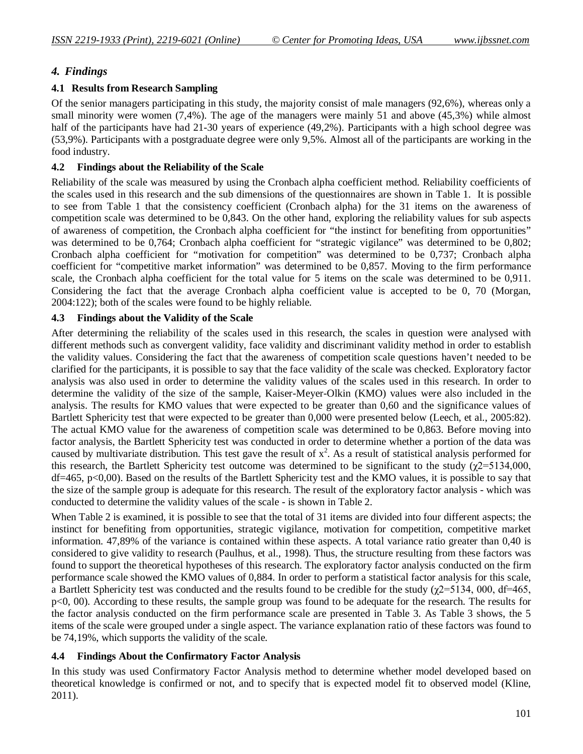### *4. Findings*

#### **4.1 Results from Research Sampling**

Of the senior managers participating in this study, the majority consist of male managers (92,6%), whereas only a small minority were women  $(7,4\%)$ . The age of the managers were mainly 51 and above (45,3%) while almost half of the participants have had 21-30 years of experience (49.2%). Participants with a high school degree was (53,9%). Participants with a postgraduate degree were only 9,5%. Almost all of the participants are working in the food industry.

#### **4.2 Findings about the Reliability of the Scale**

Reliability of the scale was measured by using the Cronbach alpha coefficient method. Reliability coefficients of the scales used in this research and the sub dimensions of the questionnaires are shown in Table 1. It is possible to see from Table 1 that the consistency coefficient (Cronbach alpha) for the 31 items on the awareness of competition scale was determined to be 0,843. On the other hand, exploring the reliability values for sub aspects of awareness of competition, the Cronbach alpha coefficient for "the instinct for benefiting from opportunities" was determined to be 0,764; Cronbach alpha coefficient for "strategic vigilance" was determined to be 0,802; Cronbach alpha coefficient for "motivation for competition" was determined to be 0,737; Cronbach alpha coefficient for "competitive market information" was determined to be 0,857. Moving to the firm performance scale, the Cronbach alpha coefficient for the total value for 5 items on the scale was determined to be 0,911. Considering the fact that the average Cronbach alpha coefficient value is accepted to be 0, 70 (Morgan, 2004:122); both of the scales were found to be highly reliable.

#### **4.3 Findings about the Validity of the Scale**

After determining the reliability of the scales used in this research, the scales in question were analysed with different methods such as convergent validity, face validity and discriminant validity method in order to establish the validity values. Considering the fact that the awareness of competition scale questions haven't needed to be clarified for the participants, it is possible to say that the face validity of the scale was checked. Exploratory factor analysis was also used in order to determine the validity values of the scales used in this research. In order to determine the validity of the size of the sample, Kaiser-Meyer-Olkin (KMO) values were also included in the analysis. The results for KMO values that were expected to be greater than 0,60 and the significance values of Bartlett Sphericity test that were expected to be greater than 0,000 were presented below (Leech, et al., 2005:82). The actual KMO value for the awareness of competition scale was determined to be 0,863. Before moving into factor analysis, the Bartlett Sphericity test was conducted in order to determine whether a portion of the data was caused by multivariate distribution. This test gave the result of  $x^2$ . As a result of statistical analysis performed for this research, the Bartlett Sphericity test outcome was determined to be significant to the study ( $\chi$ 2=5134,000, df=465, p<0,00). Based on the results of the Bartlett Sphericity test and the KMO values, it is possible to say that the size of the sample group is adequate for this research. The result of the exploratory factor analysis - which was conducted to determine the validity values of the scale - is shown in Table 2.

When Table 2 is examined, it is possible to see that the total of 31 items are divided into four different aspects; the instinct for benefiting from opportunities, strategic vigilance, motivation for competition, competitive market information. 47,89% of the variance is contained within these aspects. A total variance ratio greater than 0,40 is considered to give validity to research (Paulhus, et al., 1998). Thus, the structure resulting from these factors was found to support the theoretical hypotheses of this research. The exploratory factor analysis conducted on the firm performance scale showed the KMO values of 0,884. In order to perform a statistical factor analysis for this scale, a Bartlett Sphericity test was conducted and the results found to be credible for the study ( $\chi$ 2=5134, 000, df=465, p<0, 00). According to these results, the sample group was found to be adequate for the research. The results for the factor analysis conducted on the firm performance scale are presented in Table 3. As Table 3 shows, the 5 items of the scale were grouped under a single aspect. The variance explanation ratio of these factors was found to be 74,19%, which supports the validity of the scale.

# **4.4 Findings About the Confirmatory Factor Analysis**

In this study was used Confirmatory Factor Analysis method to determine whether model developed based on theoretical knowledge is confirmed or not, and to specify that is expected model fit to observed model (Kline, 2011).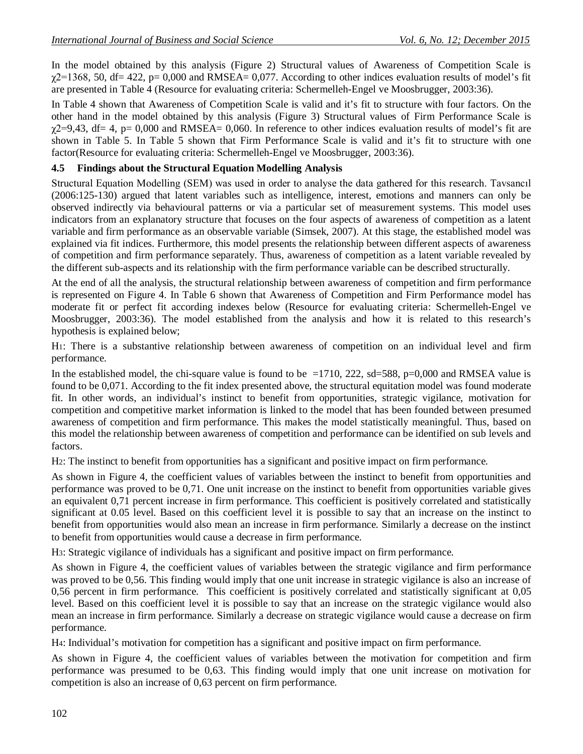In the model obtained by this analysis (Figure 2) Structural values of Awareness of Competition Scale is  $\gamma$ 2=1368, 50, df= 422, p= 0,000 and RMSEA= 0,077. According to other indices evaluation results of model's fit are presented in Table 4 (Resource for evaluating criteria: Schermelleh-Engel ve Moosbrugger, 2003:36).

In Table 4 shown that Awareness of Competition Scale is valid and it's fit to structure with four factors. On the other hand in the model obtained by this analysis (Figure 3) Structural values of Firm Performance Scale is  $\gamma$ 2=9,43, df= 4, p= 0,000 and RMSEA= 0,060. In reference to other indices evaluation results of model's fit are shown in Table 5. In Table 5 shown that Firm Performance Scale is valid and it's fit to structure with one factor(Resource for evaluating criteria: Schermelleh-Engel ve Moosbrugger, 2003:36).

#### **4.5 Findings about the Structural Equation Modelling Analysis**

Structural Equation Modelling (SEM) was used in order to analyse the data gathered for this research. Tavsancıl (2006:125-130) argued that latent variables such as intelligence, interest, emotions and manners can only be observed indirectly via behavioural patterns or via a particular set of measurement systems. This model uses indicators from an explanatory structure that focuses on the four aspects of awareness of competition as a latent variable and firm performance as an observable variable (Simsek, 2007). At this stage, the established model was explained via fit indices. Furthermore, this model presents the relationship between different aspects of awareness of competition and firm performance separately. Thus, awareness of competition as a latent variable revealed by the different sub-aspects and its relationship with the firm performance variable can be described structurally.

At the end of all the analysis, the structural relationship between awareness of competition and firm performance is represented on Figure 4. In Table 6 shown that Awareness of Competition and Firm Performance model has moderate fit or perfect fit according indexes below (Resource for evaluating criteria: Schermelleh-Engel ve Moosbrugger, 2003:36). The model established from the analysis and how it is related to this research's hypothesis is explained below;

H1: There is a substantive relationship between awareness of competition on an individual level and firm performance.

In the established model, the chi-square value is found to be  $=1710$ , 222, sd=588, p=0,000 and RMSEA value is found to be 0,071. According to the fit index presented above, the structural equitation model was found moderate fit. In other words, an individual's instinct to benefit from opportunities, strategic vigilance, motivation for competition and competitive market information is linked to the model that has been founded between presumed awareness of competition and firm performance. This makes the model statistically meaningful. Thus, based on this model the relationship between awareness of competition and performance can be identified on sub levels and factors.

H2: The instinct to benefit from opportunities has a significant and positive impact on firm performance.

As shown in Figure 4, the coefficient values of variables between the instinct to benefit from opportunities and performance was proved to be 0,71. One unit increase on the instinct to benefit from opportunities variable gives an equivalent 0,71 percent increase in firm performance. This coefficient is positively correlated and statistically significant at 0.05 level. Based on this coefficient level it is possible to say that an increase on the instinct to benefit from opportunities would also mean an increase in firm performance. Similarly a decrease on the instinct to benefit from opportunities would cause a decrease in firm performance.

H3: Strategic vigilance of individuals has a significant and positive impact on firm performance.

As shown in Figure 4, the coefficient values of variables between the strategic vigilance and firm performance was proved to be 0,56. This finding would imply that one unit increase in strategic vigilance is also an increase of 0,56 percent in firm performance. This coefficient is positively correlated and statistically significant at 0,05 level. Based on this coefficient level it is possible to say that an increase on the strategic vigilance would also mean an increase in firm performance. Similarly a decrease on strategic vigilance would cause a decrease on firm performance.

H4: Individual's motivation for competition has a significant and positive impact on firm performance.

As shown in Figure 4, the coefficient values of variables between the motivation for competition and firm performance was presumed to be 0,63. This finding would imply that one unit increase on motivation for competition is also an increase of 0,63 percent on firm performance.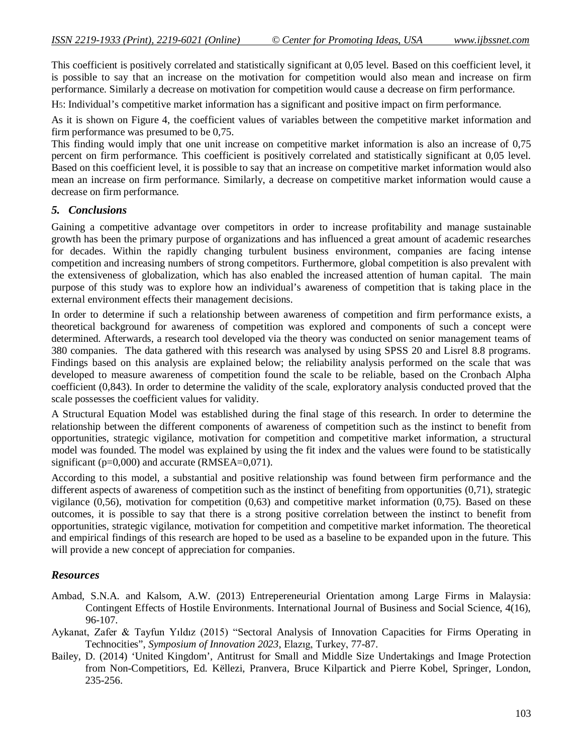This coefficient is positively correlated and statistically significant at 0,05 level. Based on this coefficient level, it is possible to say that an increase on the motivation for competition would also mean and increase on firm performance. Similarly a decrease on motivation for competition would cause a decrease on firm performance.

H5: Individual's competitive market information has a significant and positive impact on firm performance.

As it is shown on Figure 4, the coefficient values of variables between the competitive market information and firm performance was presumed to be 0,75.

This finding would imply that one unit increase on competitive market information is also an increase of 0,75 percent on firm performance. This coefficient is positively correlated and statistically significant at 0,05 level. Based on this coefficient level, it is possible to say that an increase on competitive market information would also mean an increase on firm performance. Similarly, a decrease on competitive market information would cause a decrease on firm performance.

#### *5. Conclusions*

Gaining a competitive advantage over competitors in order to increase profitability and manage sustainable growth has been the primary purpose of organizations and has influenced a great amount of academic researches for decades. Within the rapidly changing turbulent business environment, companies are facing intense competition and increasing numbers of strong competitors. Furthermore, global competition is also prevalent with the extensiveness of globalization, which has also enabled the increased attention of human capital. The main purpose of this study was to explore how an individual's awareness of competition that is taking place in the external environment effects their management decisions.

In order to determine if such a relationship between awareness of competition and firm performance exists, a theoretical background for awareness of competition was explored and components of such a concept were determined. Afterwards, a research tool developed via the theory was conducted on senior management teams of 380 companies. The data gathered with this research was analysed by using SPSS 20 and Lisrel 8.8 programs. Findings based on this analysis are explained below; the reliability analysis performed on the scale that was developed to measure awareness of competition found the scale to be reliable, based on the Cronbach Alpha coefficient (0,843). In order to determine the validity of the scale, exploratory analysis conducted proved that the scale possesses the coefficient values for validity.

A Structural Equation Model was established during the final stage of this research. In order to determine the relationship between the different components of awareness of competition such as the instinct to benefit from opportunities, strategic vigilance, motivation for competition and competitive market information, a structural model was founded. The model was explained by using the fit index and the values were found to be statistically significant ( $p=0,000$ ) and accurate (RMSEA= $0,071$ ).

According to this model, a substantial and positive relationship was found between firm performance and the different aspects of awareness of competition such as the instinct of benefiting from opportunities (0,71), strategic vigilance  $(0,56)$ , motivation for competition  $(0,63)$  and competitive market information  $(0,75)$ . Based on these outcomes, it is possible to say that there is a strong positive correlation between the instinct to benefit from opportunities, strategic vigilance, motivation for competition and competitive market information. The theoretical and empirical findings of this research are hoped to be used as a baseline to be expanded upon in the future. This will provide a new concept of appreciation for companies.

#### *Resources*

- Ambad, S.N.A. and Kalsom, A.W. (2013) Entrepereneurial Orientation among Large Firms in Malaysia: Contingent Effects of Hostile Environments. International Journal of Business and Social Science, 4(16), 96-107.
- Aykanat, Zafer & Tayfun Yıldız (2015) "Sectoral Analysis of Innovation Capacities for Firms Operating in Technocities", *Symposium of Innovation 2023*, Elazıg, Turkey, 77-87.
- Bailey, D. (2014) 'United Kingdom', Antitrust for Small and Middle Size Undertakings and Image Protection from Non-Competitiors, Ed. Këllezi, Pranvera, Bruce Kilpartick and Pierre Kobel, Springer, London, 235-256.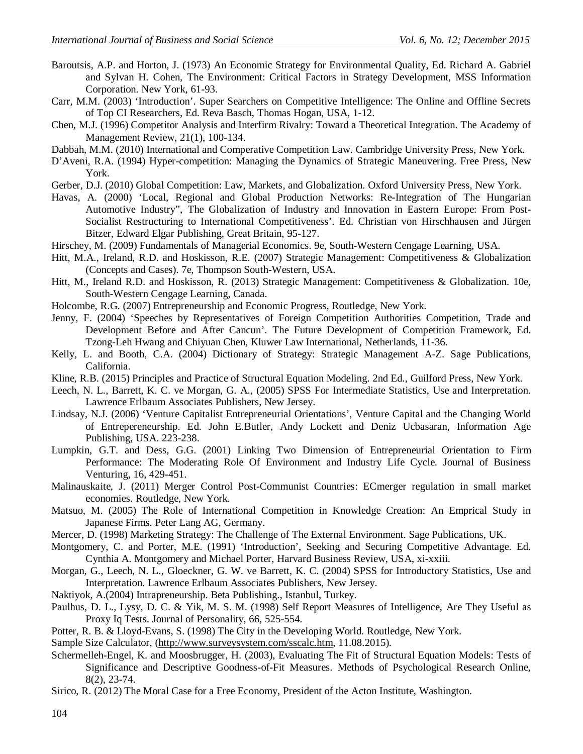- Baroutsis, A.P. and Horton, J. (1973) An Economic Strategy for Environmental Quality, Ed. Richard A. Gabriel and Sylvan H. Cohen, The Environment: Critical Factors in Strategy Development, MSS Information Corporation. New York, 61-93.
- Carr, M.M. (2003) 'Introduction'. Super Searchers on Competitive Intelligence: The Online and Offline Secrets of Top CI Researchers, Ed. Reva Basch, Thomas Hogan, USA, 1-12.
- Chen, M.J. (1996) Competitor Analysis and Interfirm Rivalry: Toward a Theoretical Integration. The Academy of Management Review, 21(1), 100-134.
- Dabbah, M.M. (2010) International and Comperative Competition Law. Cambridge University Press, New York.
- D'Aveni, R.A. (1994) Hyper-competition: Managing the Dynamics of Strategic Maneuvering. Free Press, New York.
- Gerber, D.J. (2010) Global Competition: Law, Markets, and Globalization. Oxford University Press, New York.
- Havas, A. (2000) 'Local, Regional and Global Production Networks: Re-Integration of The Hungarian Automotive Industry", The Globalization of Industry and Innovation in Eastern Europe: From Post-Socialist Restructuring to International Competitiveness'. Ed. Christian von Hirschhausen and Jürgen Bitzer, Edward Elgar Publishing, Great Britain, 95-127.
- Hirschey, M. (2009) Fundamentals of Managerial Economics. 9e, South-Western Cengage Learning, USA.
- Hitt, M.A., Ireland, R.D. and Hoskisson, R.E. (2007) Strategic Management: Competitiveness & Globalization (Concepts and Cases). 7e, Thompson South-Western, USA.
- Hitt, M., Ireland R.D. and Hoskisson, R. (2013) Strategic Management: Competitiveness & Globalization. 10e, South-Western Cengage Learning, Canada.
- Holcombe, R.G. (2007) Entrepreneurship and Economic Progress, Routledge, New York.
- Jenny, F. (2004) 'Speeches by Representatives of Foreign Competition Authorities Competition, Trade and Development Before and After Cancun'. The Future Development of Competition Framework, Ed. Tzong-Leh Hwang and Chiyuan Chen, Kluwer Law International, Netherlands, 11-36.
- Kelly, L. and Booth, C.A. (2004) Dictionary of Strategy: Strategic Management A-Z. Sage Publications, California.
- Kline, R.B. (2015) Principles and Practice of Structural Equation Modeling. 2nd Ed., Guilford Press, New York.
- Leech, N. L., Barrett, K. C. ve Morgan, G. A., (2005) SPSS For Intermediate Statistics, Use and Interpretation. Lawrence Erlbaum Associates Publishers, New Jersey.
- Lindsay, N.J. (2006) 'Venture Capitalist Entrepreneurial Orientations', Venture Capital and the Changing World of Entrepereneurship. Ed. John E.Butler, Andy Lockett and Deniz Ucbasaran, Information Age Publishing, USA. 223-238.
- Lumpkin, G.T. and Dess, G.G. (2001) Linking Two Dimension of Entrepreneurial Orientation to Firm Performance: The Moderating Role Of Environment and Industry Life Cycle. Journal of Business Venturing, 16, 429-451.
- Malinauskaite, J. (2011) Merger Control Post-Communist Countries: ECmerger regulation in small market economies. Routledge, New York.
- Matsuo, M. (2005) The Role of International Competition in Knowledge Creation: An Emprical Study in Japanese Firms. Peter Lang AG, Germany.
- Mercer, D. (1998) Marketing Strategy: The Challenge of The External Environment. Sage Publications, UK.
- Montgomery, C. and Porter, M.E. (1991) 'Introduction', Seeking and Securing Competitive Advantage. Ed. Cynthia A. Montgomery and Michael Porter, Harvard Business Review, USA, xi-xxiii.
- Morgan, G., Leech, N. L., Gloeckner, G. W. ve Barrett, K. C. (2004) SPSS for Introductory Statistics, Use and Interpretation. Lawrence Erlbaum Associates Publishers, New Jersey.
- Naktiyok, A.(2004) Intrapreneurship. Beta Publishing., Istanbul, Turkey.
- Paulhus, D. L., Lysy, D. C. & Yik, M. S. M. (1998) Self Report Measures of Intelligence, Are They Useful as Proxy Iq Tests. Journal of Personality, 66, 525-554.
- Potter, R. B. & Lloyd-Evans, S. (1998) The City in the Developing World. Routledge, New York.
- Sample Size Calculator, (http://www.surveysystem.com/sscalc.htm, 11.08.2015).
- Schermelleh-Engel, K. and Moosbrugger, H. (2003), Evaluating The Fit of Structural Equation Models: Tests of Significance and Descriptive Goodness-of-Fit Measures. Methods of Psychological Research Online, 8(2), 23-74.
- Sirico, R. (2012) The Moral Case for a Free Economy, President of the Acton Institute, Washington.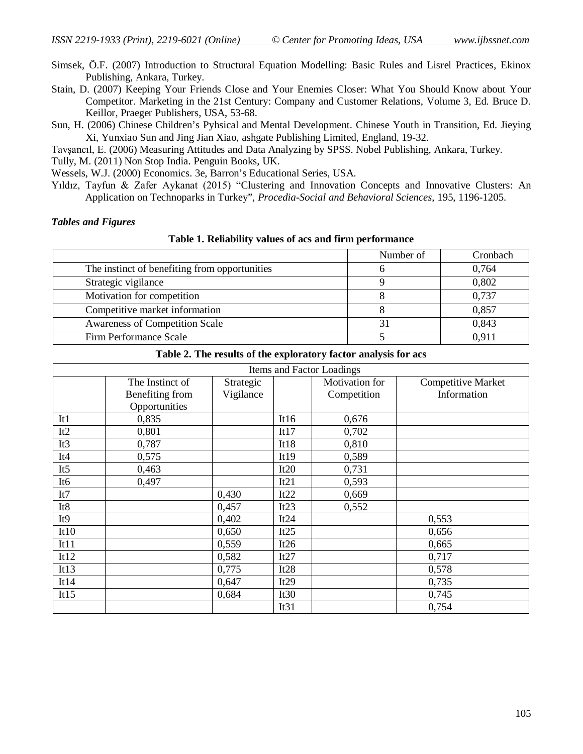Simsek, Ö.F. (2007) Introduction to Structural Equation Modelling: Basic Rules and Lisrel Practices, Ekinox Publishing, Ankara, Turkey.

- Stain, D. (2007) Keeping Your Friends Close and Your Enemies Closer: What You Should Know about Your Competitor. Marketing in the 21st Century: Company and Customer Relations, Volume 3, Ed. Bruce D. Keillor, Praeger Publishers, USA, 53-68.
- Sun, H. (2006) Chinese Children's Pyhsical and Mental Development. Chinese Youth in Transition, Ed. Jieying Xi, Yunxiao Sun and Jing Jian Xiao, ashgate Publishing Limited, England, 19-32.

Tavşancıl, E. (2006) Measuring Attitudes and Data Analyzing by SPSS. Nobel Publishing, Ankara, Turkey.

Tully, M. (2011) Non Stop India. Penguin Books, UK.

Wessels, W.J. (2000) Economics. 3e, Barron's Educational Series, USA.

Yıldız, Tayfun & Zafer Aykanat (2015) "Clustering and Innovation Concepts and Innovative Clusters: An Application on Technoparks in Turkey", *Procedia-Social and Behavioral Sciences,* 195, 1196-1205.

#### *Tables and Figures*

**Table 1. Reliability values of acs and firm performance**

|                                               | Number of | Cronbach |
|-----------------------------------------------|-----------|----------|
| The instinct of benefiting from opportunities |           | 0,764    |
| Strategic vigilance                           |           | 0,802    |
| Motivation for competition                    |           | 0,737    |
| Competitive market information                |           | 0,857    |
| <b>Awareness of Competition Scale</b>         |           | 0,843    |
| Firm Performance Scale                        |           | 0.911    |

#### **Table 2. The results of the exploratory factor analysis for acs**

| Items and Factor Loadings |                 |           |         |                |                           |
|---------------------------|-----------------|-----------|---------|----------------|---------------------------|
|                           | The Instinct of | Strategic |         | Motivation for | <b>Competitive Market</b> |
|                           | Benefiting from | Vigilance |         | Competition    | Information               |
|                           | Opportunities   |           |         |                |                           |
| It1                       | 0,835           |           | It16    | 0,676          |                           |
| It2                       | 0,801           |           | It17    | 0,702          |                           |
| It <sub>3</sub>           | 0,787           |           | It18    | 0,810          |                           |
| It <sub>4</sub>           | 0,575           |           | It19    | 0,589          |                           |
| It5                       | 0,463           |           | It20    | 0,731          |                           |
| It <sub>6</sub>           | 0,497           |           | It21    | 0,593          |                           |
| It7                       |                 | 0,430     | It22    | 0,669          |                           |
| It <sub>8</sub>           |                 | 0,457     | It23    | 0,552          |                           |
| It <sub>9</sub>           |                 | 0,402     | It24    |                | 0,553                     |
| It10                      |                 | 0,650     | It $25$ |                | 0,656                     |
| It11                      |                 | 0,559     | It $26$ |                | 0,665                     |
| It12                      |                 | 0,582     | It27    |                | 0,717                     |
| It13                      |                 | 0,775     | It28    |                | 0,578                     |
| It14                      |                 | 0,647     | It29    |                | 0,735                     |
| It15                      |                 | 0,684     | It30    |                | 0,745                     |
|                           |                 |           | It31    |                | 0,754                     |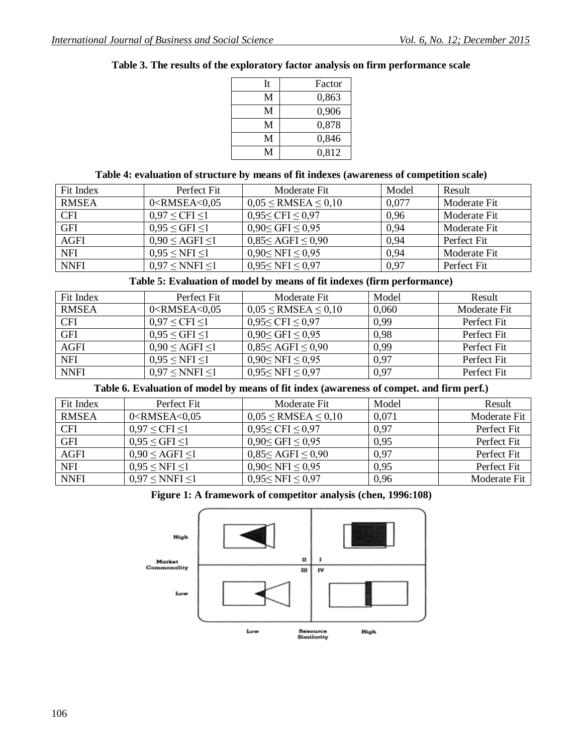#### **Table 3. The results of the exploratory factor analysis on firm performance scale**

| It | Factor |
|----|--------|
| M  | 0,863  |
| M  | 0,906  |
| M  | 0,878  |
| M  | 0,846  |
| М  | 0,812  |

#### **Table 4: evaluation of structure by means of fit indexes (awareness of competition scale)**

| Fit Index    | Perfect Fit                           | Moderate Fit                      | Model | Result       |
|--------------|---------------------------------------|-----------------------------------|-------|--------------|
| <b>RMSEA</b> | $0$ <rmsea <="" <math="">0.05</rmsea> | $0.05 \leq$ RMSEA $\leq 0.10$     | 0,077 | Moderate Fit |
| <b>CFI</b>   | $0.97 \leq CFI \leq 1$                | $0.95 \leq CFI \leq 0.97$         | 0.96  | Moderate Fit |
| <b>GFI</b>   | $0.95 \leq GFI \leq 1$                | $0,90 \leq$ GFI $\leq 0.95$       | 0.94  | Moderate Fit |
| <b>AGFI</b>  | $0.90 \leq \text{AGFI} \leq 1$        | $0.85 \leq \text{AGFI} \leq 0.90$ | 0.94  | Perfect Fit  |
| <b>NFI</b>   | $0.95 \leq NFI \leq 1$                | $0,90 \leq NFI \leq 0.95$         | 0.94  | Moderate Fit |
| <b>NNFI</b>  | $0.97 \leq NNFI \leq 1$               | $0,95 \leq NFI \leq 0,97$         | 0,97  | Perfect Fit  |

**Table 5: Evaluation of model by means of fit indexes (firm performance)**

| Fit Index    | Perfect Fit                           | Moderate Fit                      | Model | Result       |
|--------------|---------------------------------------|-----------------------------------|-------|--------------|
| <b>RMSEA</b> | $0$ <rmsea <="" <math="">0,05</rmsea> | $0.05 \leq$ RMSEA $\leq 0.10$     | 0,060 | Moderate Fit |
| <b>CFI</b>   | $0.97 \leq CFI \leq 1$                | $0,95 \leq CFI \leq 0,97$         | 0.99  | Perfect Fit  |
| <b>GFI</b>   | $0.95 \leq$ GFI $\leq$ 1              | $0,90 \leq$ GFI $\leq 0.95$       | 0,98  | Perfect Fit  |
| AGFI         | $0,90 \leq \text{AGFI} \leq 1$        | $0,85 \leq \text{AGFI} \leq 0,90$ | 0.99  | Perfect Fit  |
| NFI          | $0.95 \leq NFI \leq 1$                | $0,90 \leq NFI \leq 0,95$         | 0.97  | Perfect Fit  |
| <b>NNFI</b>  | $0.97 \leq NNFI \leq l$               | $0.95 \leq NFI \leq 0.97$         | 0.97  | Perfect Fit  |

**Table 6. Evaluation of model by means of fit index (awareness of compet. and firm perf.)**

| Fit Index    | Perfect Fit                           | Moderate Fit                      | Model | Result       |
|--------------|---------------------------------------|-----------------------------------|-------|--------------|
| <b>RMSEA</b> | $0$ <rmsea <="" <math="">0.05</rmsea> | $0.05 \leq$ RMSEA $\leq 0.10$     | 0.071 | Moderate Fit |
| <b>CFI</b>   | $0.97 \leq CFI \leq 1$                | $0.95 \le CFI \le 0.97$           | 0.97  | Perfect Fit  |
| <b>GFI</b>   | $0.95 \leq GFI \leq 1$                | $0,90 \leq$ GFI $\leq 0.95$       | 0.95  | Perfect Fit  |
| AGFI         | $0.90 \leq \text{AGFI} \leq 1$        | $0,85 \leq \text{AGFI} \leq 0,90$ | 0.97  | Perfect Fit  |
| <b>NFI</b>   | $0.95 \leq NFI \leq 1$                | $0,90 \leq NFI \leq 0,95$         | 0,95  | Perfect Fit  |
| <b>NNFI</b>  | $0.97 \leq NNFI \leq 1$               | $0,95 \leq NFI \leq 0,97$         | 0,96  | Moderate Fit |

**Figure 1: A framework of competitor analysis (chen, 1996:108)**